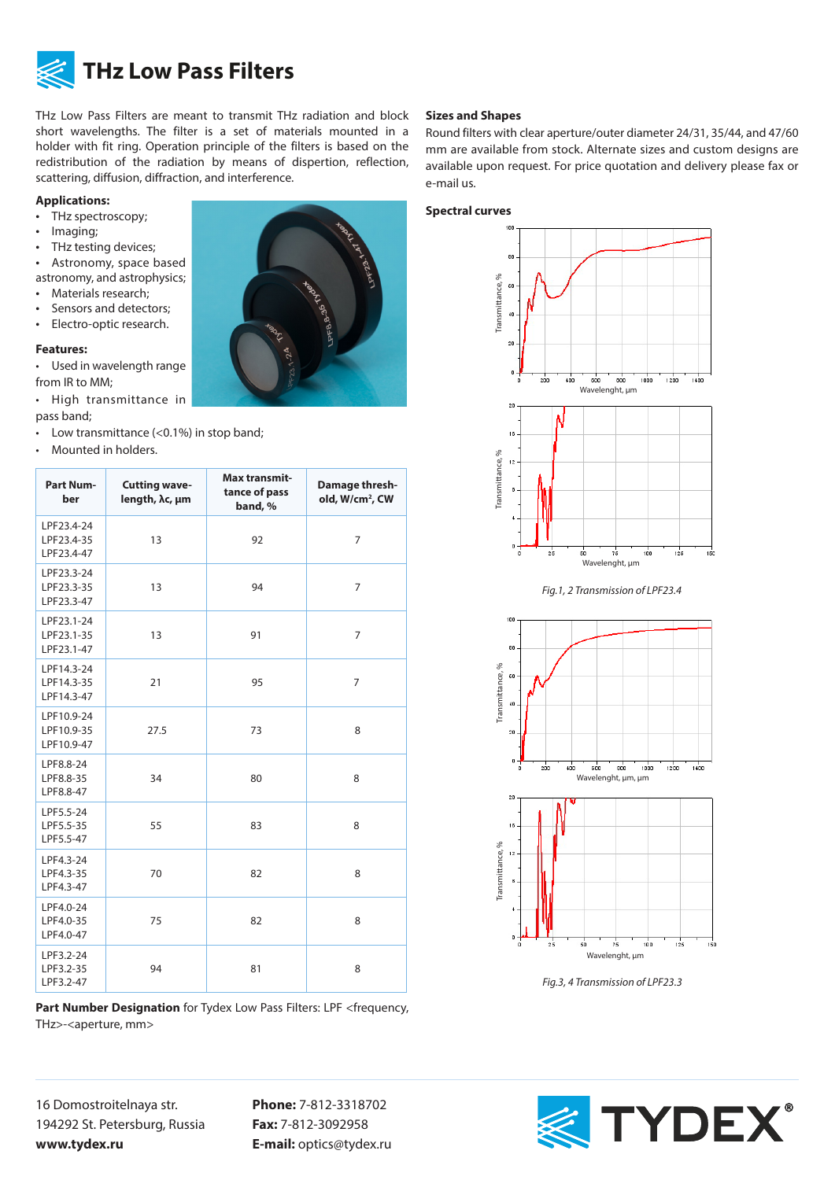

# **THz Low Pass Filters**

THz Low Pass Filters are meant to transmit THz radiation and block short wavelengths. The filter is a set of materials mounted in a holder with fit ring. Operation principle of the filters is based on the redistribution of the radiation by means of dispertion, reflection, scattering, diffusion, diffraction, and interference.

### **Applications:**

- THz spectroscopy;
- Imaging;
- THz testing devices;
- Astronomy, space based

astronomy, and astrophysics;

- Materials research;
- Sensors and detectors; • Electro-optic research.

## **Features:**

• Used in wavelength range from IR to MM;

- High transmittance in pass band;
- Low transmittance (<0.1%) in stop band;
- Mounted in holders.

| <b>Part Num-</b><br>ber                | <b>Cutting wave-</b><br>length, λc, μm | Max transmit-<br>tance of pass<br>band, % | Damage thresh-<br>old, W/cm <sup>2</sup> , CW |
|----------------------------------------|----------------------------------------|-------------------------------------------|-----------------------------------------------|
| LPF23.4-24<br>LPF23.4-35<br>LPF23.4-47 | 13                                     | 92                                        | $\overline{7}$                                |
| LPF23.3-24<br>LPF23.3-35<br>LPF23.3-47 | 13                                     | 94                                        | $\overline{7}$                                |
| LPF23.1-24<br>LPF23.1-35<br>LPF23.1-47 | 13                                     | 91                                        | 7                                             |
| LPF14.3-24<br>LPF14.3-35<br>LPF14.3-47 | 21                                     | 95                                        | $\overline{7}$                                |
| LPF10.9-24<br>LPF10.9-35<br>LPF10.9-47 | 27.5                                   | 73                                        | 8                                             |
| LPF8.8-24<br>LPF8.8-35<br>LPF8.8-47    | 34                                     | 80                                        | 8                                             |
| LPF5.5-24<br>LPF5.5-35<br>LPF5.5-47    | 55                                     | 83                                        | 8                                             |
| LPF4.3-24<br>LPF4.3-35<br>LPF4.3-47    | 70                                     | 82                                        | 8                                             |
| LPF4.0-24<br>LPF4.0-35<br>LPF4.0-47    | 75                                     | 82                                        | 8                                             |
| LPF3.2-24<br>LPF3.2-35<br>LPF3.2-47    | 94                                     | 81                                        | 8                                             |

**Part Number Designation** for Tydex Low Pass Filters: LPF <frequency, THz>-<aperture, mm>

### 16 Domostroitelnaya str. 194292 St. Petersburg, Russia **www.tydex.ru**

**Phone:** 7-812-3318702 **Fax:** 7-812-3092958 **E-mail:** optics@tydex.ru

#### **Sizes and Shapes**

Round filters with clear aperture/outer diameter 24/31, 35/44, and 47/60 mm are available from stock. Alternate sizes and custom designs are available upon request. For price quotation and delivery please fax or e-mail us.





*Fig.1, 2 Transmission of LPF23.4*



*Fig.3, 4 Transmission of LPF23.3*



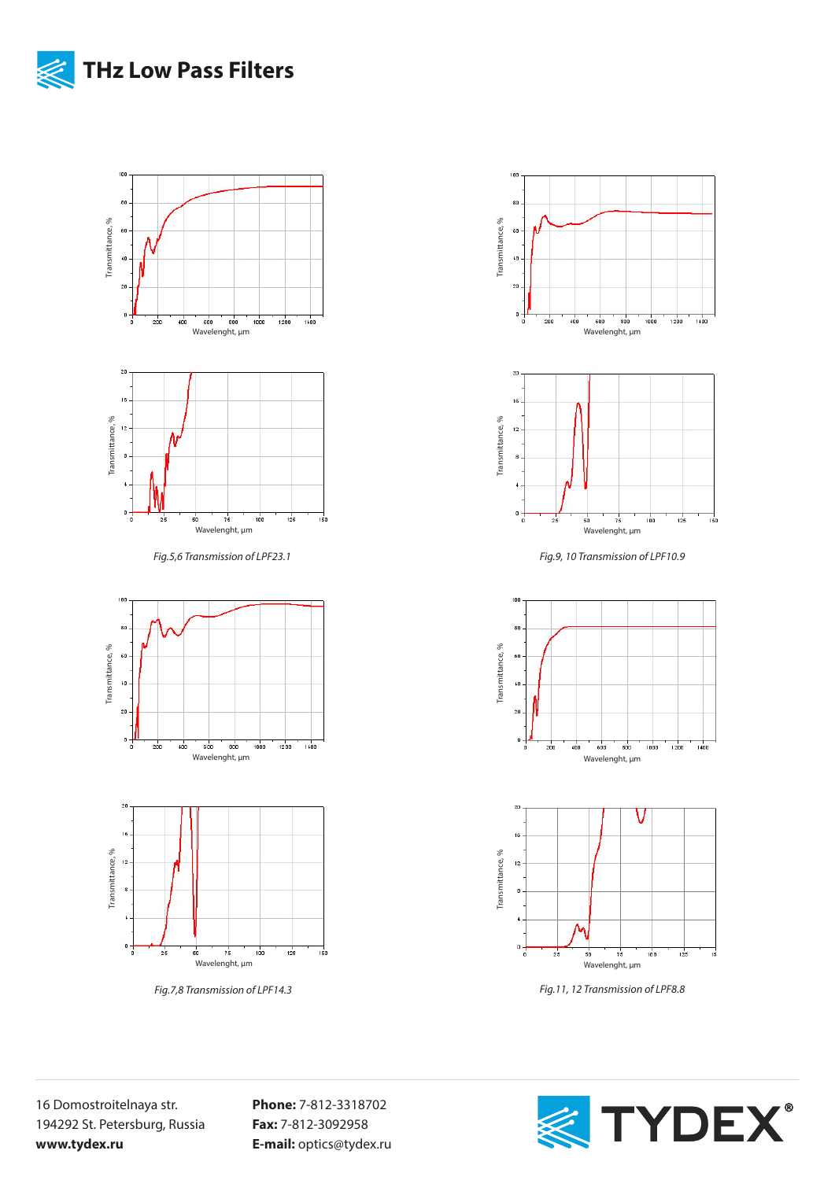



Wavelenght, μm *Fig.7,8 Transmission of LPF14.3*

 $25$ 

 $50$ 





*Fig.9, 10 Transmission of LPF10.9*





*Fig.11, 12 Transmission of LPF8.8*



**Phone:** 7-812-3318702 **Fax:** 7-812-3092958 **E-mail:** optics@tydex.ru

 $150$